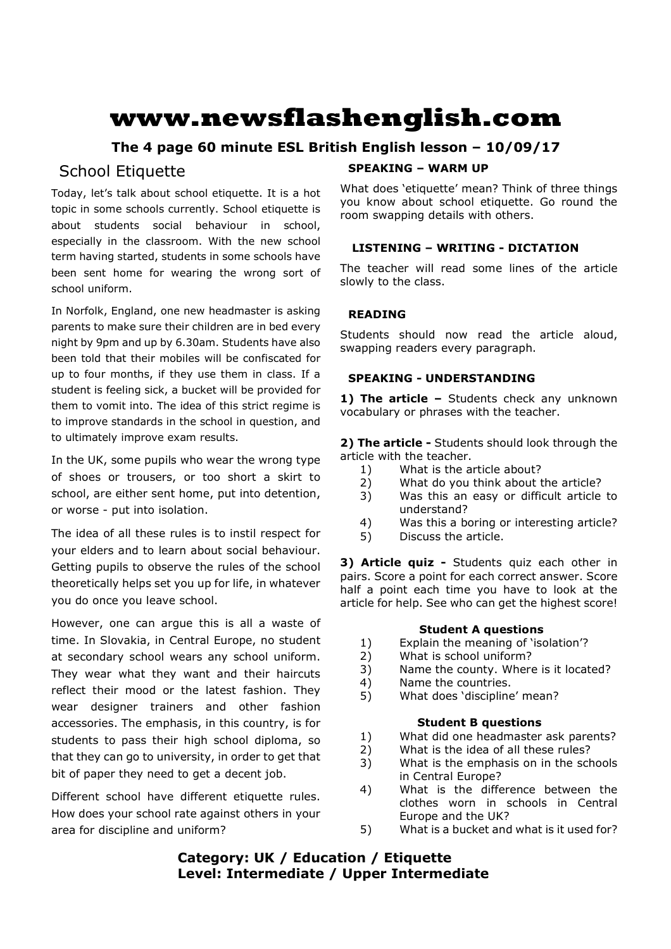# **www.newsflashenglish.com**

# **The 4 page 60 minute ESL British English lesson – 10/09/17**

# School Etiquette

Today, let's talk about school etiquette. It is a hot topic in some schools currently. School etiquette is about students social behaviour in school, especially in the classroom. With the new school term having started, students in some schools have been sent home for wearing the wrong sort of school uniform.

In Norfolk, England, one new headmaster is asking parents to make sure their children are in bed every night by 9pm and up by 6.30am. Students have also been told that their mobiles will be confiscated for up to four months, if they use them in class. If a student is feeling sick, a bucket will be provided for them to vomit into. The idea of this strict regime is to improve standards in the school in question, and to ultimately improve exam results.

In the UK, some pupils who wear the wrong type of shoes or trousers, or too short a skirt to school, are either sent home, put into detention, or worse - put into isolation.

The idea of all these rules is to instil respect for your elders and to learn about social behaviour. Getting pupils to observe the rules of the school theoretically helps set you up for life, in whatever you do once you leave school.

However, one can argue this is all a waste of time. In Slovakia, in Central Europe, no student at secondary school wears any school uniform. They wear what they want and their haircuts reflect their mood or the latest fashion. They wear designer trainers and other fashion accessories. The emphasis, in this country, is for students to pass their high school diploma, so that they can go to university, in order to get that bit of paper they need to get a decent job.

Different school have different etiquette rules. How does your school rate against others in your area for discipline and uniform?

#### **SPEAKING – WARM UP**

What does 'etiquette' mean? Think of three things you know about school etiquette. Go round the room swapping details with others.

### **LISTENING – WRITING - DICTATION**

The teacher will read some lines of the article slowly to the class.

### **READING**

Students should now read the article aloud, swapping readers every paragraph.

### **SPEAKING - UNDERSTANDING**

1) The article - Students check any unknown vocabulary or phrases with the teacher.

**2) The article -** Students should look through the article with the teacher.

- 1) What is the article about?
- 2) What do you think about the article?
- 3) Was this an easy or difficult article to understand?
- 4) Was this a boring or interesting article?
- 5) Discuss the article.

**3) Article quiz -** Students quiz each other in pairs. Score a point for each correct answer. Score half a point each time you have to look at the article for help. See who can get the highest score!

### **Student A questions**

- 1) Explain the meaning of 'isolation'?
- 2) What is school uniform?
- 3) Name the county. Where is it located?
- 4) Name the countries.
- 5) What does 'discipline' mean?

#### **Student B questions**

- 1) What did one headmaster ask parents?
- 2) What is the idea of all these rules?
- 3) What is the emphasis on in the schools in Central Europe?
- 4) What is the difference between the clothes worn in schools in Central Europe and the UK?
- 5) What is a bucket and what is it used for?

# **Category: UK / Education / Etiquette Level: Intermediate / Upper Intermediate**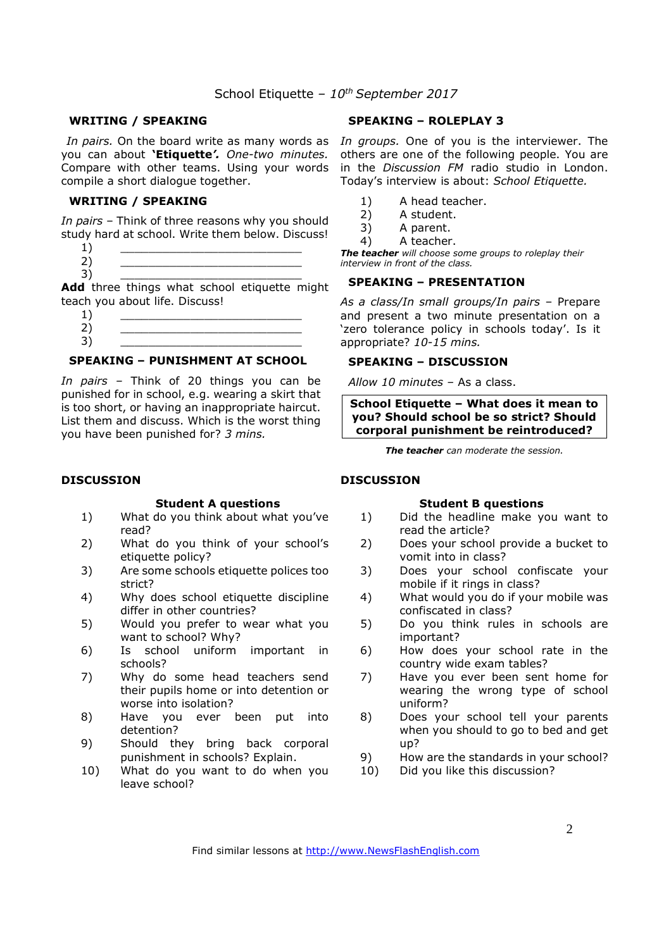#### **WRITING / SPEAKING**

you can about **'Etiquette***'. One-two minutes.*  Compare with other teams. Using your words compile a short dialogue together.

#### **WRITING / SPEAKING**

*In pairs* – Think of three reasons why you should study hard at school. Write them below. Discuss!

- $1)$   $\qquad \qquad$
- 2) \_\_\_\_\_\_\_\_\_\_\_\_\_\_\_\_\_\_\_\_\_\_\_\_\_\_

3) \_\_\_\_\_\_\_\_\_\_\_\_\_\_\_\_\_\_\_\_\_\_\_\_\_\_ **Add** three things what school etiquette might teach you about life. Discuss!

 $1)$   $\qquad \qquad$ 2) \_\_\_\_\_\_\_\_\_\_\_\_\_\_\_\_\_\_\_\_\_\_\_\_\_\_

#### 3) \_\_\_\_\_\_\_\_\_\_\_\_\_\_\_\_\_\_\_\_\_\_\_\_\_\_ **SPEAKING – PUNISHMENT AT SCHOOL**

*In pairs –* Think of 20 things you can be punished for in school, e.g. wearing a skirt that is too short, or having an inappropriate haircut. List them and discuss. Which is the worst thing you have been punished for? *3 mins.*

#### **DISCUSSION**

#### **Student A questions**

- 1) What do you think about what you've read?
- 2) What do you think of your school's etiquette policy?
- 3) Are some schools etiquette polices too strict?
- 4) Why does school etiquette discipline differ in other countries?
- 5) Would you prefer to wear what you want to school? Why?
- 6) Is school uniform important in schools?
- 7) Why do some head teachers send their pupils home or into detention or worse into isolation?
- 8) Have you ever been put into detention?
- 9) Should they bring back corporal punishment in schools? Explain.
- 10) What do you want to do when you leave school?

#### **SPEAKING – ROLEPLAY 3**

In pairs. On the board write as many words as In groups. One of you is the interviewer. The others are one of the following people. You are in the *Discussion FM* radio studio in London. Today's interview is about: *School Etiquette.*

- 1) A head teacher.
- 2) A student.
- 3) A parent.
- 4) A teacher.

*The teacher will choose some groups to roleplay their interview in front of the class.* 

#### **SPEAKING – PRESENTATION**

*As a class/In small groups/In pairs* – Prepare and present a two minute presentation on a 'zero tolerance policy in schools today'. Is it appropriate? *10-15 mins.* 

#### **SPEAKING – DISCUSSION**

*Allow 10 minutes* – As a class.

**School Etiquette – What does it mean to you? Should school be so strict? Should corporal punishment be reintroduced?**

*The teacher can moderate the session.*

#### **DISCUSSION**

#### **Student B questions**

- 1) Did the headline make you want to read the article?
- 2) Does your school provide a bucket to vomit into in class?
- 3) Does your school confiscate your mobile if it rings in class?
- 4) What would you do if your mobile was confiscated in class?
- 5) Do you think rules in schools are important?
- 6) How does your school rate in the country wide exam tables?
- 7) Have you ever been sent home for wearing the wrong type of school uniform?
- 8) Does your school tell your parents when you should to go to bed and get up?
- 9) How are the standards in your school?<br>10) Did you like this discussion?
- Did you like this discussion?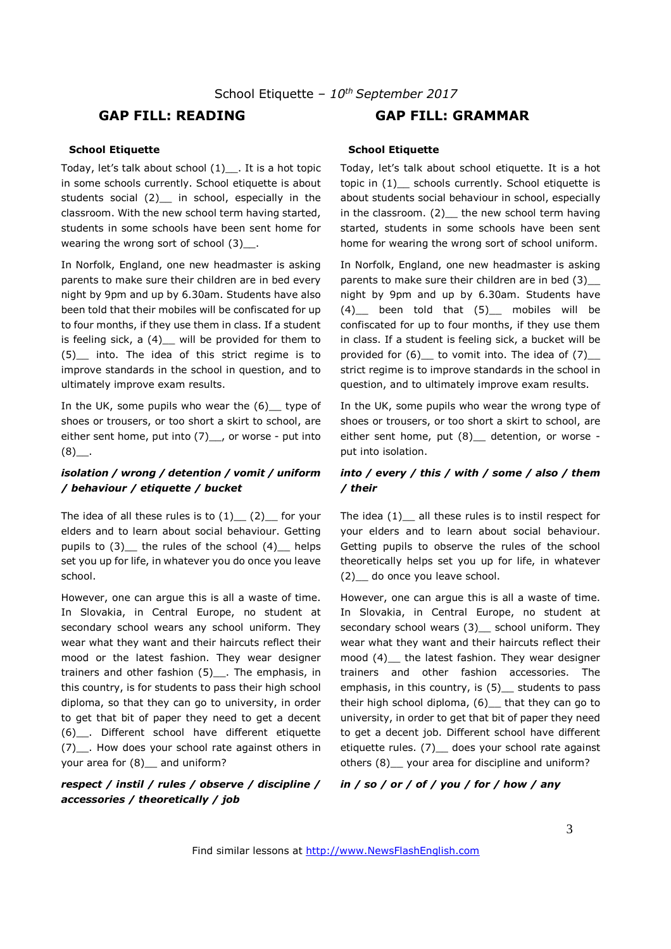#### **School Etiquette**

Today, let's talk about school (1)\_\_. It is a hot topic in some schools currently. School etiquette is about students social (2) in school, especially in the classroom. With the new school term having started, students in some schools have been sent home for wearing the wrong sort of school (3) .

In Norfolk, England, one new headmaster is asking parents to make sure their children are in bed every night by 9pm and up by 6.30am. Students have also been told that their mobiles will be confiscated for up to four months, if they use them in class. If a student is feeling sick,  $a(4)$  will be provided for them to (5)\_\_ into. The idea of this strict regime is to improve standards in the school in question, and to ultimately improve exam results.

In the UK, some pupils who wear the  $(6)$  type of shoes or trousers, or too short a skirt to school, are either sent home, put into (7)\_, or worse - put into  $(8)$ .

#### *isolation / wrong / detention / vomit / uniform / behaviour / etiquette / bucket*

The idea of all these rules is to  $(1)$   $(2)$  for your elders and to learn about social behaviour. Getting pupils to  $(3)$  the rules of the school  $(4)$  helps set you up for life, in whatever you do once you leave school.

However, one can argue this is all a waste of time. In Slovakia, in Central Europe, no student at secondary school wears any school uniform. They wear what they want and their haircuts reflect their mood or the latest fashion. They wear designer trainers and other fashion (5)\_\_. The emphasis, in this country, is for students to pass their high school diploma, so that they can go to university, in order to get that bit of paper they need to get a decent (6)\_\_. Different school have different etiquette (7)\_\_. How does your school rate against others in your area for (8) \_ and uniform?

#### *respect / instil / rules / observe / discipline / accessories / theoretically / job*

## **GAP FILL: READING GAP FILL: GRAMMAR**

#### **School Etiquette**

Today, let's talk about school etiquette. It is a hot topic in (1) schools currently. School etiquette is about students social behaviour in school, especially in the classroom. (2) the new school term having started, students in some schools have been sent home for wearing the wrong sort of school uniform.

In Norfolk, England, one new headmaster is asking parents to make sure their children are in bed (3)\_\_\_ night by 9pm and up by 6.30am. Students have (4)\_\_ been told that (5)\_\_ mobiles will be confiscated for up to four months, if they use them in class. If a student is feeling sick, a bucket will be provided for  $(6)$  to vomit into. The idea of  $(7)$ strict regime is to improve standards in the school in question, and to ultimately improve exam results.

In the UK, some pupils who wear the wrong type of shoes or trousers, or too short a skirt to school, are either sent home, put (8) \_ detention, or worse put into isolation.

#### *into / every / this / with / some / also / them / their*

The idea  $(1)$  all these rules is to instil respect for your elders and to learn about social behaviour. Getting pupils to observe the rules of the school theoretically helps set you up for life, in whatever (2)\_\_ do once you leave school.

However, one can argue this is all a waste of time. In Slovakia, in Central Europe, no student at secondary school wears (3) \_ school uniform. They wear what they want and their haircuts reflect their mood (4)\_\_ the latest fashion. They wear designer trainers and other fashion accessories. The emphasis, in this country, is (5) students to pass their high school diploma, (6)\_\_ that they can go to university, in order to get that bit of paper they need to get a decent job. Different school have different etiquette rules. (7) \_ does your school rate against others (8)\_\_ your area for discipline and uniform?

#### *in / so / or / of / you / for / how / any*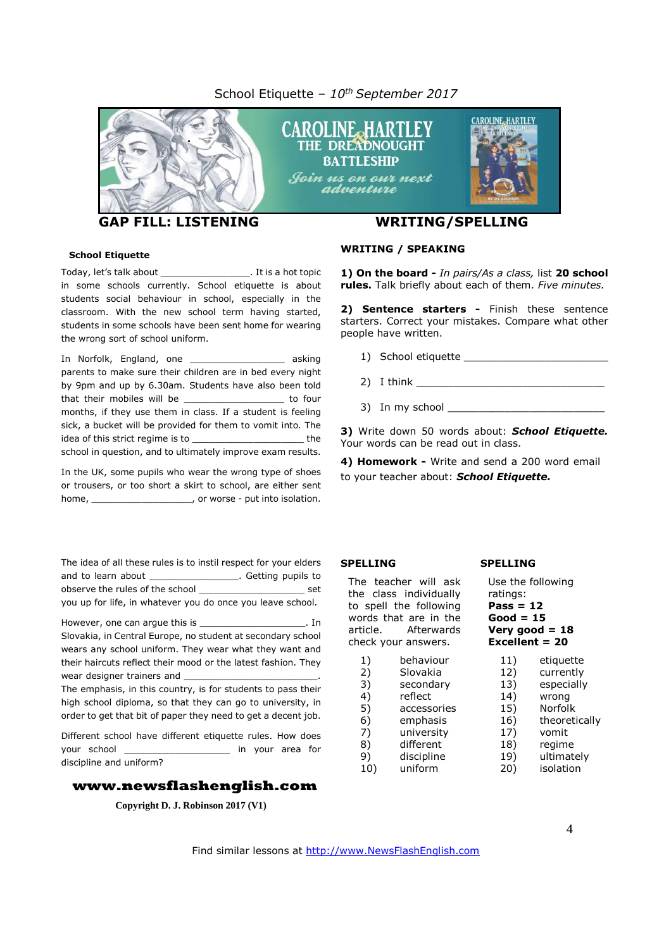#### School Etiquette *– 10 th September 2017*



**GAP FILL: LISTENING WRITING/SPELLING**

#### **School Etiquette**

Today, let's talk about \_\_\_\_\_\_\_\_\_\_\_\_\_\_\_\_. It is a hot topic in some schools currently. School etiquette is about students social behaviour in school, especially in the classroom. With the new school term having started, students in some schools have been sent home for wearing the wrong sort of school uniform.

In Norfolk, England, one **asking** parents to make sure their children are in bed every night by 9pm and up by 6.30am. Students have also been told that their mobiles will be the state of the to four months, if they use them in class. If a student is feeling sick, a bucket will be provided for them to vomit into. The idea of this strict regime is to \_\_\_\_\_\_\_\_\_\_\_\_\_\_\_\_\_\_\_\_ the school in question, and to ultimately improve exam results.

In the UK, some pupils who wear the wrong type of shoes or trousers, or too short a skirt to school, are either sent home, home, home, home and the summan power of worse - put into isolation.

The idea of all these rules is to instil respect for your elders and to learn about \_\_\_\_\_\_\_\_\_\_\_\_\_\_\_\_\_\_\_. Getting pupils to observe the rules of the school \_\_\_\_\_\_\_\_\_\_\_\_\_\_\_\_\_\_\_ set you up for life, in whatever you do once you leave school.

However, one can argue this is \_ Slovakia, in Central Europe, no student at secondary school wears any school uniform. They wear what they want and their haircuts reflect their mood or the latest fashion. They wear designer trainers and

The emphasis, in this country, is for students to pass their high school diploma, so that they can go to university, in order to get that bit of paper they need to get a decent job.

Different school have different etiquette rules. How does your school \_\_\_\_\_\_\_\_\_\_\_\_\_\_\_\_\_\_\_ in your area for discipline and uniform?

#### **www.newsflashenglish.com**

**Copyright D. J. Robinson 2017 (V1)**

#### **WRITING / SPEAKING**

**1) On the board -** *In pairs/As a class,* list **20 school rules.** Talk briefly about each of them. *Five minutes.*

**2) Sentence starters -** Finish these sentence starters. Correct your mistakes. Compare what other people have written.

- 1) School etiquette
- $2)$  I think
- $3)$  In my school  $\qquad \qquad$

**3)** Write down 50 words about: *School Etiquette.* Your words can be read out in class.

**4) Homework -** Write and send a 200 word email to your teacher about: *School Etiquette.*

#### **SPELLING**

The teacher will ask the class individually to spell the following words that are in the article. Afterwards check your answers.

1) behaviour 2) Slovakia<br>3) secondary secondary 4) reflect 5) accessories 6) emphasis 7) university 8) different 9) discipline 10) uniform 17) vomit

# **SPELLING**

#### Use the following ratings: **Pass = 12 Good = 15 Very good = 18 Excellent = 20** 11) etiquette 12) currently 13) especially 14) wrong

15) Norfolk

- 16) theoretically
- 18) regime
- 19) ultimately
- 20) isolation

Find similar lessons at http://www.NewsFlashEnglish.com